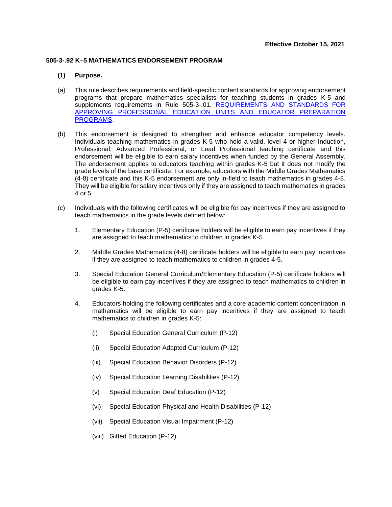## **505-3-.92 K–5 MATHEMATICS ENDORSEMENT PROGRAM**

## **(1) Purpose.**

- (a) This rule describes requirements and field-specific content standards for approving endorsement programs that prepare mathematics specialists for teaching students in grades K-5 and supplements requirements in Rule 505-3-.01, REQUIREMENTS AND STANDARDS FOR [APPROVING PROFESSIONAL EDUCATION UNITS AND EDUCATOR PREPARATION](https://www.gapsc.com/Rules/Current/EducatorPreparation/505-3-.01.pdf?dt=%3C%25#Eval()  [PROGRAMS.](https://www.gapsc.com/Rules/Current/EducatorPreparation/505-3-.01.pdf?dt=%3C%25#Eval()
- (b) This endorsement is designed to strengthen and enhance educator competency levels. Individuals teaching mathematics in grades K-5 who hold a valid, level 4 or higher Induction, Professional, Advanced Professional, or Lead Professional teaching certificate and this endorsement will be eligible to earn salary incentives when funded by the General Assembly. The endorsement applies to educators teaching within grades K-5 but it does not modify the grade levels of the base certificate. For example, educators with the Middle Grades Mathematics (4-8) certificate and this K-5 endorsement are only in-field to teach mathematics in grades 4-8. They will be eligible for salary incentives only if they are assigned to teach mathematics in grades 4 or 5.
- (c) Individuals with the following certificates will be eligible for pay incentives if they are assigned to teach mathematics in the grade levels defined below:
	- 1. Elementary Education (P-5) certificate holders will be eligible to earn pay incentives if they are assigned to teach mathematics to children in grades K-5.
	- 2. Middle Grades Mathematics (4-8) certificate holders will be eligible to earn pay incentives if they are assigned to teach mathematics to children in grades 4-5.
	- 3. Special Education General Curriculum/Elementary Education (P-5) certificate holders will be eligible to earn pay incentives if they are assigned to teach mathematics to children in grades K-5.
	- 4. Educators holding the following certificates and a core academic content concentration in mathematics will be eligible to earn pay incentives if they are assigned to teach mathematics to children in grades K-5:
		- (i) Special Education General Curriculum (P-12)
		- (ii) Special Education Adapted Curriculum (P-12)
		- (iii) Special Education Behavior Disorders (P-12)
		- (iv) Special Education Learning Disabilities (P-12)
		- (v) Special Education Deaf Education (P-12)
		- (vi) Special Education Physical and Health Disabilities (P-12)
		- (vii) Special Education Visual Impairment (P-12)
		- (viii) Gifted Education (P-12)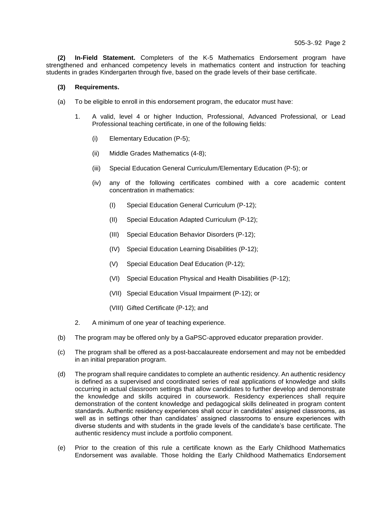**(2) In-Field Statement.** Completers of the K-5 Mathematics Endorsement program have strengthened and enhanced competency levels in mathematics content and instruction for teaching students in grades Kindergarten through five, based on the grade levels of their base certificate.

## **(3) Requirements.**

- (a) To be eligible to enroll in this endorsement program, the educator must have:
	- 1. A valid, level 4 or higher Induction, Professional, Advanced Professional, or Lead Professional teaching certificate, in one of the following fields:
		- (i) Elementary Education (P-5);
		- (ii) Middle Grades Mathematics (4-8);
		- (iii) Special Education General Curriculum/Elementary Education (P-5); or
		- (iv) any of the following certificates combined with a core academic content concentration in mathematics:
			- (I) Special Education General Curriculum (P-12);
			- (II) Special Education Adapted Curriculum (P-12);
			- (III) Special Education Behavior Disorders (P-12);
			- (IV) Special Education Learning Disabilities (P-12);
			- (V) Special Education Deaf Education (P-12);
			- (VI) Special Education Physical and Health Disabilities (P-12);
			- (VII) Special Education Visual Impairment (P-12); or
			- (VIII) Gifted Certificate (P-12); and
	- 2. A minimum of one year of teaching experience.
- (b) The program may be offered only by a GaPSC-approved educator preparation provider.
- (c) The program shall be offered as a post-baccalaureate endorsement and may not be embedded in an initial preparation program.
- (d) The program shall require candidates to complete an authentic residency. An authentic residency is defined as a supervised and coordinated series of real applications of knowledge and skills occurring in actual classroom settings that allow candidates to further develop and demonstrate the knowledge and skills acquired in coursework. Residency experiences shall require demonstration of the content knowledge and pedagogical skills delineated in program content standards. Authentic residency experiences shall occur in candidates' assigned classrooms, as well as in settings other than candidates' assigned classrooms to ensure experiences with diverse students and with students in the grade levels of the candidate's base certificate. The authentic residency must include a portfolio component.
- (e) Prior to the creation of this rule a certificate known as the Early Childhood Mathematics Endorsement was available. Those holding the Early Childhood Mathematics Endorsement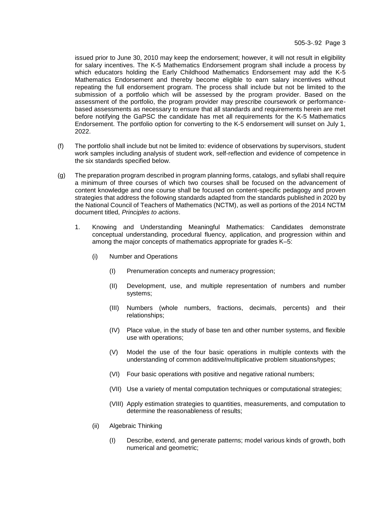issued prior to June 30, 2010 may keep the endorsement; however, it will not result in eligibility for salary incentives. The K-5 Mathematics Endorsement program shall include a process by which educators holding the Early Childhood Mathematics Endorsement may add the K-5 Mathematics Endorsement and thereby become eligible to earn salary incentives without repeating the full endorsement program. The process shall include but not be limited to the submission of a portfolio which will be assessed by the program provider. Based on the assessment of the portfolio, the program provider may prescribe coursework or performancebased assessments as necessary to ensure that all standards and requirements herein are met before notifying the GaPSC the candidate has met all requirements for the K-5 Mathematics Endorsement. The portfolio option for converting to the K-5 endorsement will sunset on July 1, 2022.

- (f) The portfolio shall include but not be limited to: evidence of observations by supervisors, student work samples including analysis of student work, self-reflection and evidence of competence in the six standards specified below.
- (g) The preparation program described in program planning forms, catalogs, and syllabi shall require a minimum of three courses of which two courses shall be focused on the advancement of content knowledge and one course shall be focused on content-specific pedagogy and proven strategies that address the following standards adapted from the standards published in 2020 by the National Council of Teachers of Mathematics (NCTM), as well as portions of the 2014 NCTM document titled, *Principles to actions*.
	- 1. Knowing and Understanding Meaningful Mathematics: Candidates demonstrate conceptual understanding, procedural fluency, application, and progression within and among the major concepts of mathematics appropriate for grades K–5:
		- (i) Number and Operations
			- (I) Prenumeration concepts and numeracy progression;
			- (II) Development, use, and multiple representation of numbers and number systems;
			- (III) Numbers (whole numbers, fractions, decimals, percents) and their relationships;
			- (IV) Place value, in the study of base ten and other number systems, and flexible use with operations;
			- (V) Model the use of the four basic operations in multiple contexts with the understanding of common additive/multiplicative problem situations/types;
			- (VI) Four basic operations with positive and negative rational numbers;
			- (VII) Use a variety of mental computation techniques or computational strategies;
			- (VIII) Apply estimation strategies to quantities, measurements, and computation to determine the reasonableness of results;
		- (ii) Algebraic Thinking
			- (I) Describe, extend, and generate patterns; model various kinds of growth, both numerical and geometric;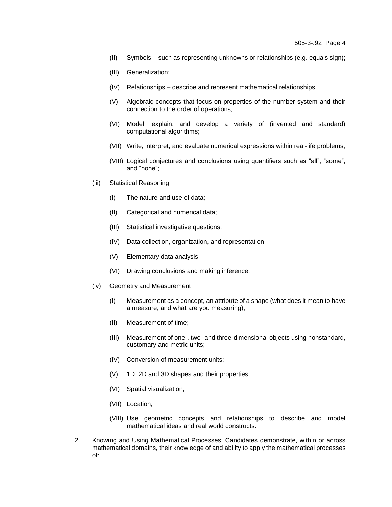- (II) Symbols such as representing unknowns or relationships (e.g. equals sign);
- (III) Generalization;
- (IV) Relationships describe and represent mathematical relationships;
- (V) Algebraic concepts that focus on properties of the number system and their connection to the order of operations;
- (VI) Model, explain, and develop a variety of (invented and standard) computational algorithms;
- (VII) Write, interpret, and evaluate numerical expressions within real-life problems;
- (VIII) Logical conjectures and conclusions using quantifiers such as "all", "some", and "none";
- (iii) Statistical Reasoning
	- (I) The nature and use of data;
	- (II) Categorical and numerical data;
	- (III) Statistical investigative questions;
	- (IV) Data collection, organization, and representation;
	- (V) Elementary data analysis;
	- (VI) Drawing conclusions and making inference;
- (iv) Geometry and Measurement
	- (I) Measurement as a concept, an attribute of a shape (what does it mean to have a measure, and what are you measuring);
	- (II) Measurement of time;
	- (III) Measurement of one-, two- and three-dimensional objects using nonstandard, customary and metric units;
	- (IV) Conversion of measurement units;
	- (V) 1D, 2D and 3D shapes and their properties;
	- (VI) Spatial visualization;
	- (VII) Location;
	- (VIII) Use geometric concepts and relationships to describe and model mathematical ideas and real world constructs.
- 2. Knowing and Using Mathematical Processes: Candidates demonstrate, within or across mathematical domains, their knowledge of and ability to apply the mathematical processes of: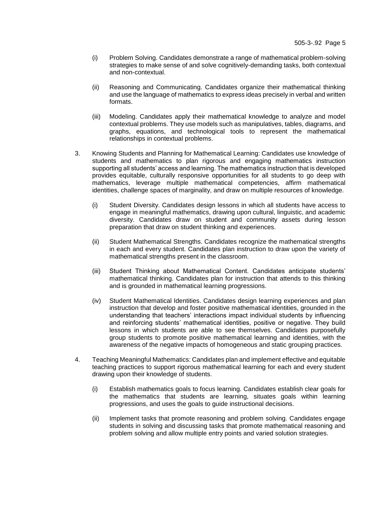- (i) Problem Solving. Candidates demonstrate a range of mathematical problem-solving strategies to make sense of and solve cognitively-demanding tasks, both contextual and non-contextual.
- (ii) Reasoning and Communicating. Candidates organize their mathematical thinking and use the language of mathematics to express ideas precisely in verbal and written formats.
- (iii) Modeling. Candidates apply their mathematical knowledge to analyze and model contextual problems. They use models such as manipulatives, tables, diagrams, and graphs, equations, and technological tools to represent the mathematical relationships in contextual problems.
- 3. Knowing Students and Planning for Mathematical Learning: Candidates use knowledge of students and mathematics to plan rigorous and engaging mathematics instruction supporting all students' access and learning. The mathematics instruction that is developed provides equitable, culturally responsive opportunities for all students to go deep with mathematics, leverage multiple mathematical competencies, affirm mathematical identities, challenge spaces of marginality, and draw on multiple resources of knowledge.
	- (i) Student Diversity. Candidates design lessons in which all students have access to engage in meaningful mathematics, drawing upon cultural, linguistic, and academic diversity. Candidates draw on student and community assets during lesson preparation that draw on student thinking and experiences.
	- (ii) Student Mathematical Strengths. Candidates recognize the mathematical strengths in each and every student. Candidates plan instruction to draw upon the variety of mathematical strengths present in the classroom.
	- (iii) Student Thinking about Mathematical Content. Candidates anticipate students' mathematical thinking. Candidates plan for instruction that attends to this thinking and is grounded in mathematical learning progressions.
	- (iv) Student Mathematical Identities. Candidates design learning experiences and plan instruction that develop and foster positive mathematical identities, grounded in the understanding that teachers' interactions impact individual students by influencing and reinforcing students' mathematical identities, positive or negative. They build lessons in which students are able to see themselves. Candidates purposefully group students to promote positive mathematical learning and identities, with the awareness of the negative impacts of homogeneous and static grouping practices.
- 4. Teaching Meaningful Mathematics: Candidates plan and implement effective and equitable teaching practices to support rigorous mathematical learning for each and every student drawing upon their knowledge of students.
	- (i) Establish mathematics goals to focus learning. Candidates establish clear goals for the mathematics that students are learning, situates goals within learning progressions, and uses the goals to guide instructional decisions.
	- (ii) Implement tasks that promote reasoning and problem solving. Candidates engage students in solving and discussing tasks that promote mathematical reasoning and problem solving and allow multiple entry points and varied solution strategies.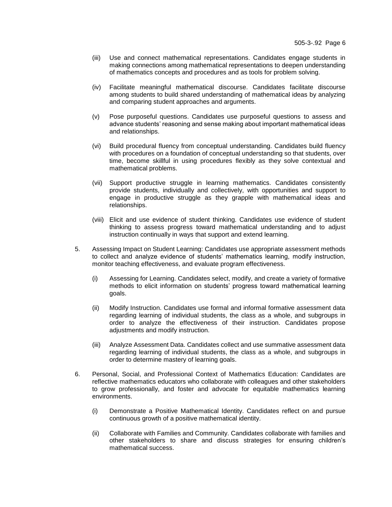- (iii) Use and connect mathematical representations. Candidates engage students in making connections among mathematical representations to deepen understanding of mathematics concepts and procedures and as tools for problem solving.
- (iv) Facilitate meaningful mathematical discourse. Candidates facilitate discourse among students to build shared understanding of mathematical ideas by analyzing and comparing student approaches and arguments.
- (v) Pose purposeful questions. Candidates use purposeful questions to assess and advance students' reasoning and sense making about important mathematical ideas and relationships.
- (vi) Build procedural fluency from conceptual understanding. Candidates build fluency with procedures on a foundation of conceptual understanding so that students, over time, become skillful in using procedures flexibly as they solve contextual and mathematical problems.
- (vii) Support productive struggle in learning mathematics. Candidates consistently provide students, individually and collectively, with opportunities and support to engage in productive struggle as they grapple with mathematical ideas and relationships.
- (viii) Elicit and use evidence of student thinking. Candidates use evidence of student thinking to assess progress toward mathematical understanding and to adjust instruction continually in ways that support and extend learning.
- 5. Assessing Impact on Student Learning: Candidates use appropriate assessment methods to collect and analyze evidence of students' mathematics learning, modify instruction, monitor teaching effectiveness, and evaluate program effectiveness.
	- (i) Assessing for Learning. Candidates select, modify, and create a variety of formative methods to elicit information on students' progress toward mathematical learning goals.
	- (ii) Modify Instruction. Candidates use formal and informal formative assessment data regarding learning of individual students, the class as a whole, and subgroups in order to analyze the effectiveness of their instruction. Candidates propose adjustments and modify instruction.
	- (iii) Analyze Assessment Data. Candidates collect and use summative assessment data regarding learning of individual students, the class as a whole, and subgroups in order to determine mastery of learning goals.
- 6. Personal, Social, and Professional Context of Mathematics Education: Candidates are reflective mathematics educators who collaborate with colleagues and other stakeholders to grow professionally, and foster and advocate for equitable mathematics learning environments.
	- (i) Demonstrate a Positive Mathematical Identity. Candidates reflect on and pursue continuous growth of a positive mathematical identity.
	- (ii) Collaborate with Families and Community. Candidates collaborate with families and other stakeholders to share and discuss strategies for ensuring children's mathematical success.